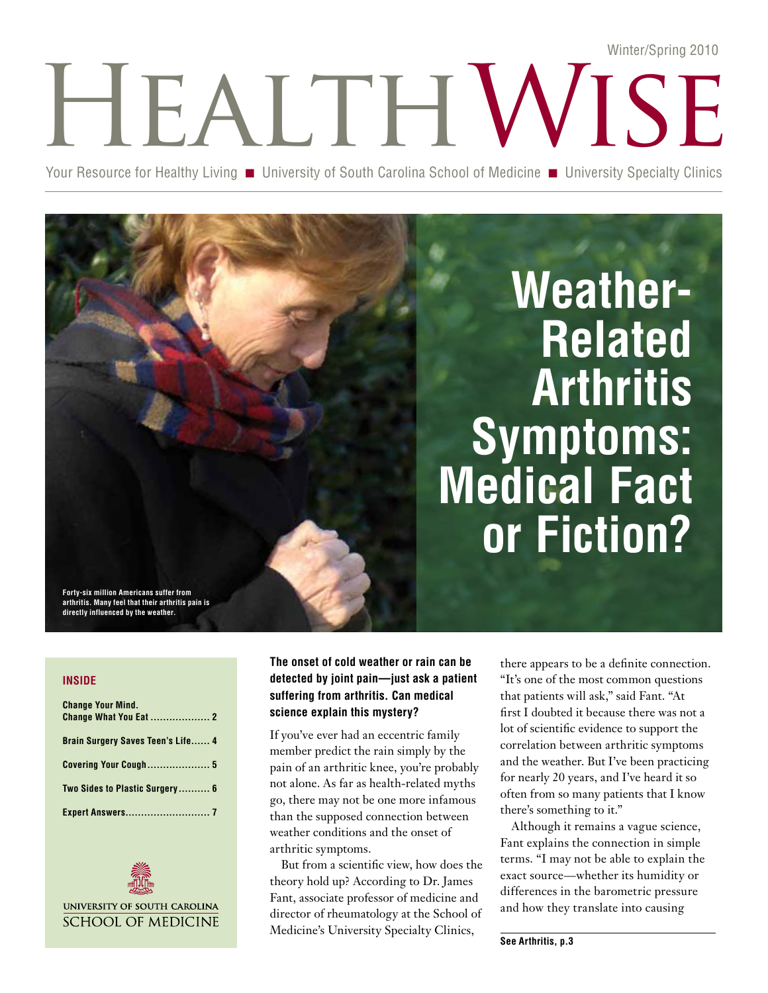# HEALTH WISE Winter/Spring 2010

Your Resource for Healthy Living **n** University of South Carolina School of Medicine **n** University Specialty Clinics

# **Weather-Related Arthritis Symptoms: Medical Fact or Fiction?**

**Forty-six million Americans suffer from arthritis. Many feel that their arthritis pain is directly influenced by the weather.**

## **inside**

| <b>Change Your Mind.</b>                 |  |
|------------------------------------------|--|
| <b>Brain Surgery Saves Teen's Life 4</b> |  |
| <b>Covering Your Cough 5</b>             |  |
| Two Sides to Plastic Surgery 6           |  |
|                                          |  |



**The onset of cold weather or rain can be detected by joint pain—just ask a patient suffering from arthritis. Can medical science explain this mystery?**

If you've ever had an eccentric family member predict the rain simply by the pain of an arthritic knee, you're probably not alone. As far as health-related myths go, there may not be one more infamous than the supposed connection between weather conditions and the onset of arthritic symptoms.

But from a scientific view, how does the theory hold up? According to Dr. James Fant, associate professor of medicine and director of rheumatology at the School of Medicine's University Specialty Clinics,

there appears to be a definite connection. "It's one of the most common questions that patients will ask," said Fant. "At first I doubted it because there was not a lot of scientific evidence to support the correlation between arthritic symptoms and the weather. But I've been practicing for nearly 20 years, and I've heard it so often from so many patients that I know there's something to it."

Although it remains a vague science, Fant explains the connection in simple terms. "I may not be able to explain the exact source—whether its humidity or differences in the barometric pressure and how they translate into causing

**See Arthritis, p.3**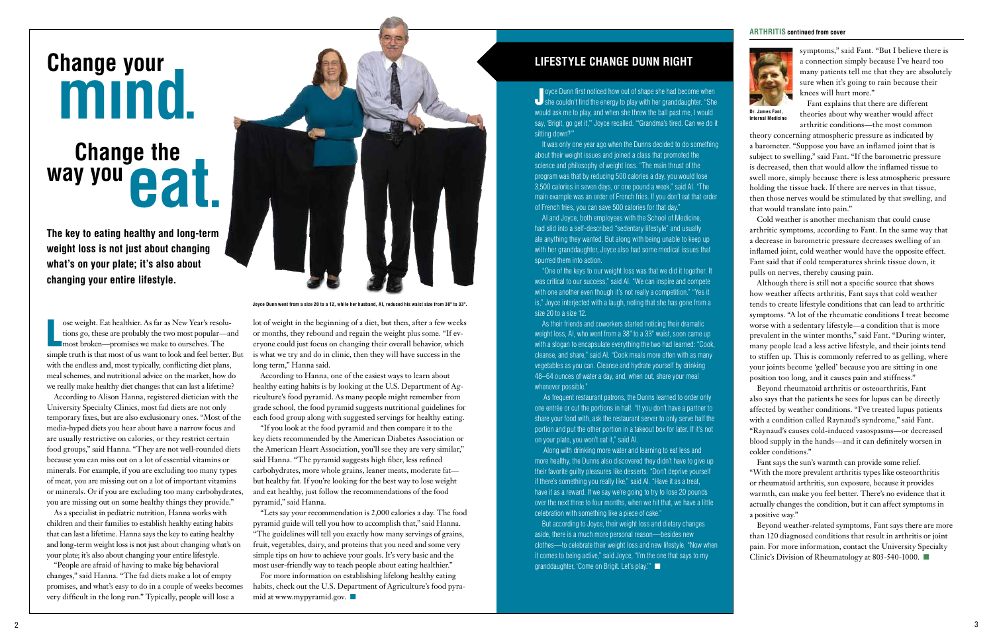### **ARTHRITIS continued from cover**



symptoms," said Fant. "But I believe there is a connection simply because I've heard too many patients tell me that they are absolutely sure when it's going to rain because their knees will hurt more."

Fant explains that there are different theories about why weather would affect arthritic conditions—the most common

theory concerning atmospheric pressure as indicated by a barometer. "Suppose you have an inflamed joint that is subject to swelling," said Fant. "If the barometric pressure is decreased, then that would allow the inflamed tissue to swell more, simply because there is less atmospheric pressure holding the tissue back. If there are nerves in that tissue, then those nerves would be stimulated by that swelling, and that would translate into pain."

Cold weather is another mechanism that could cause arthritic symptoms, according to Fant. In the same way that a decrease in barometric pressure decreases swelling of an inflamed joint, cold weather would have the opposite effect. Fant said that if cold temperatures shrink tissue down, it pulls on nerves, thereby causing pain.

Beyond weather-related symptoms, Fant says there are more than 120 diagnosed conditions that result in arthritis or joint pain. For more information, contact the University Specialty Clinic's Division of Rheumatology at 803-540-1000.  $\blacksquare$ 

Although there is still not a specific source that shows how weather affects arthritis, Fant says that cold weather tends to create lifestyle conditions that can lead to arthritic symptoms. "A lot of the rheumatic conditions I treat become worse with a sedentary lifestyle—a condition that is more prevalent in the winter months," said Fant. "During winter, many people lead a less active lifestyle, and their joints tend to stiffen up. This is commonly referred to as gelling, where your joints become 'gelled' because you are sitting in one position too long, and it causes pain and stiffness."

Beyond rheumatoid arthritis or osteoarthritis, Fant also says that the patients he sees for lupus can be directly affected by weather conditions. "I've treated lupus patients with a condition called Raynaud's syndrome," said Fant. "Raynaud's causes cold-induced vasospasms—or decreased blood supply in the hands—and it can definitely worsen in colder conditions."

For more information on establishing lifelong healthy eating habits, check out the U.S. Department of Agriculture's food pyramid at www.mypyramid.gov.  $\blacksquare$ 

Fant says the sun's warmth can provide some relief. "With the more prevalent arthritis types like osteoarthritis or rheumatoid arthritis, sun exposure, because it provides warmth, can make you feel better. There's no evidence that it actually changes the condition, but it can affect symptoms in a positive way."

Joyce Dunn first noticed how out of shape she had become when<br>She couldn't find the energy to play with her granddaughter. "She oyce Dunn first noticed how out of shape she had become when would ask me to play, and when she threw the ball past me, I would say, 'Brigit, go get it,'" Joyce recalled. "'Grandma's tired. Can we do it sitting down?'"

It was only one year ago when the Dunns decided to do something about their weight issues and joined a class that promoted the science and philosophy of weight loss. "The main thrust of the program was that by reducing 500 calories a day, you would lose 3,500 calories in seven days, or one pound a week," said Al. "The main example was an order of French fries. If you don't eat that order of French fries, you can save 500 calories for that day."

As their friends and coworkers started noticing their dramatic weight loss, Al, who went from a 38" to a 33" waist, soon came up with a slogan to encapsulate everything the two had learned: "Cook, cleanse, and share," said Al. "Cook meals more often with as many vegetables as you can. Cleanse and hydrate yourself by drinking 48–64 ounces of water a day, and, when out, share your meal whenever possible."

lot of weight in the beginning of a diet, but then, after a few weeks or months, they rebound and regain the weight plus some. "If everyone could just focus on changing their overall behavior, which is what we try and do in clinic, then they will have success in the long term," Hanna said.

According to Hanna, one of the easiest ways to learn about healthy eating habits is by looking at the U.S. Department of Agriculture's food pyramid. As many people might remember from grade school, the food pyramid suggests nutritional guidelines for each food group along with suggested servings for healthy eating.

> But according to Joyce, their weight loss and dietary changes aside, there is a much more personal reason—besides new clothes—to celebrate their weight loss and new lifestyle. "Now when it comes to being active," said Joyce, "I'm the one that says to my granddaughter, 'Come on Brigit. Let's play."

"If you look at the food pyramid and then compare it to the key diets recommended by the American Diabetes Association or the American Heart Association, you'll see they are very similar," said Hanna. "The pyramid suggests high fiber, less refined carbohydrates, more whole grains, leaner meats, moderate fat but healthy fat. If you're looking for the best way to lose weight and eat healthy, just follow the recommendations of the food pyramid," said Hanna.

ose weight. Eat healthier. As far as New Year's resolutions go, these are probably the two most popular—<br>most broken—promises we make to ourselves. The ose weight. Eat healthier. As far as New Year's resolutions go, these are probably the two most popular—and simple truth is that most of us want to look and feel better. But with the endless and, most typically, conflicting diet plans, meal schemes, and nutritional advice on the market, how do we really make healthy diet changes that can last a lifetime?

> "Lets say your recommendation is 2,000 calories a day. The food pyramid guide will tell you how to accomplish that," said Hanna. "The guidelines will tell you exactly how many servings of grains, fruit, vegetables, dairy, and proteins that you need and some very simple tips on how to achieve your goals. It's very basic and the most user-friendly way to teach people about eating healthier."

Al and Joyce, both employees with the School of Medicine, had slid into a self-described "sedentary lifestyle" and usually ate anything they wanted. But along with being unable to keep up with her granddaughter, Joyce also had some medical issues that spurred them into action.

"One of the keys to our weight loss was that we did it together. It was critical to our success," said Al. "We can inspire and compete with one another even though it's not really a competition." "Yes it is," Joyce interjected with a laugh, noting that she has gone from a size 20 to a size 12.

As frequent restaurant patrons, the Dunns learned to order only one entrée or cut the portions in half. "If you don't have a partner to share your food with, ask the restaurant server to only serve half the portion and put the other portion in a takeout box for later. If it's not on your plate, you won't eat it," said Al.

Along with drinking more water and learning to eat less and more healthy, the Dunns also discovered they didn't have to give up their favorite guilty pleasures like desserts. "Don't deprive yourself if there's something you really like," said Al. "Have it as a treat, have it as a reward. If we say we're going to try to lose 20 pounds over the next three to four months, when we hit that, we have a little celebration with something like a piece of cake."

## **Lifestyle Change Dunn Right**

According to Alison Hanna, registered dietician with the University Specialty Clinics, most fad diets are not only temporary fixes, but are also exclusionary ones. "Most of the media-hyped diets you hear about have a narrow focus and are usually restrictive on calories, or they restrict certain food groups," said Hanna. "They are not well-rounded diets because you can miss out on a lot of essential vitamins or minerals. For example, if you are excluding too many types of meat, you are missing out on a lot of important vitamins or minerals. Or if you are excluding too many carbohydrates, you are missing out on some healthy things they provide."

As a specialist in pediatric nutrition, Hanna works with children and their families to establish healthy eating habits that can last a lifetime. Hanna says the key to eating healthy and long-term weight loss is not just about changing what's on your plate; it's also about changing your entire lifestyle.

"People are afraid of having to make big behavioral changes," said Hanna. "The fad diets make a lot of empty promises, and what's easy to do in a couple of weeks becomes very difficult in the long run." Typically, people will lose a

**The key to eating healthy and long-term weight loss is not just about changing what's on your plate; it's also about changing your entire lifestyle.**

# **eat. Change the way you Change your**



**Joyce Dunn went from a size 20 to a 12, while her husband, Al, reduced his waist size from 38" to 33".**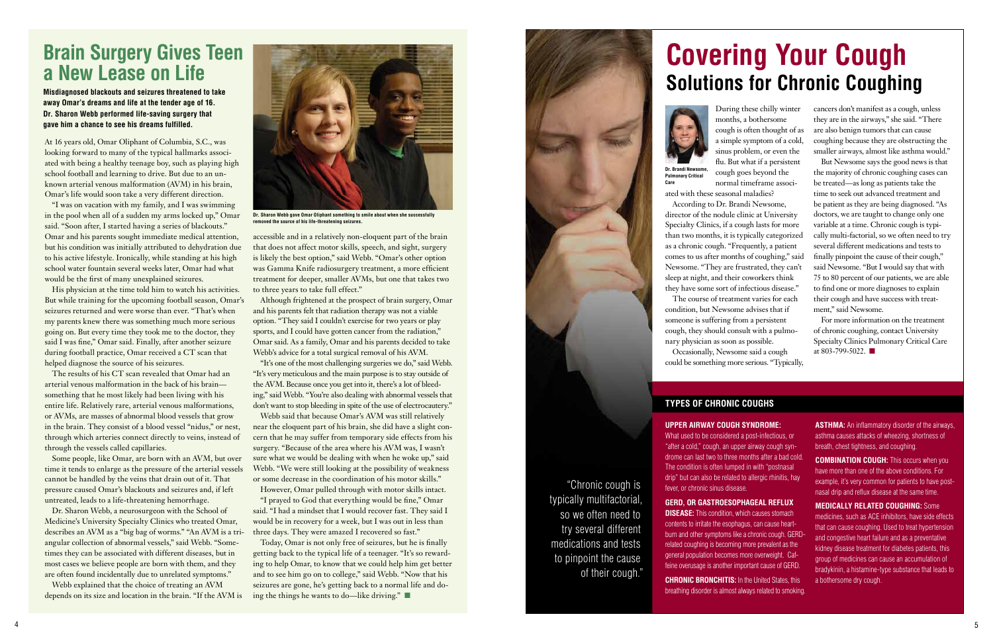During these chilly winter months, a bothersome cough is often thought of as a simple symptom of a cold, sinus problem, or even the flu. But what if a persistent cough goes beyond the normal timeframe associ-According to Dr. Brandi Newsome, The course of treatment varies for each

For more information on the treatment of chronic coughing, contact University Specialty Clinics Pulmonary Critical Care at 803-799-5022.

Occasionally, Newsome said a cough could be something more serious. "Typically,

cancers don't manifest as a cough, unless they are in the airways," she said. "There are also benign tumors that can cause coughing because they are obstructing the smaller airways, almost like asthma would."

**DISEASE:** This condition, which causes stomach contents to irritate the esophagus, can cause heartburn and other symptoms like a chronic cough. GERDrelated coughing is becoming more prevalent as the general population becomes more overweight. Caffeine overusage is another important cause of GERD.

**CHRONIC BRONCHITIS:** In the United States, this breathing disorder is almost always related to smoking. **ASTHMA:** An inflammatory disorder of the airways, asthma causes attacks of wheezing, shortness of breath, chest tightness, and coughing.

But Newsome says the good news is that the majority of chronic coughing cases can be treated—as long as patients take the time to seek out advanced treatment and be patient as they are being diagnosed. "As doctors, we are taught to change only one variable at a time. Chronic cough is typically multi-factorial, so we often need to try several different medications and tests to finally pinpoint the cause of their cough," said Newsome. "But I would say that with 75 to 80 percent of our patients, we are able to find one or more diagnoses to explain their cough and have success with treatment," said Newsome.

**COMBINATION COUGH:** This occurs when you have more than one of the above conditions. For example, it's very common for patients to have postnasal drip and reflux disease at the same time.

**upper airway cough syndrome:** What used to be considered a post-infectious, or "after a cold," cough, an upper airway cough syndrome can last two to three months after a bad cold. The condition is often lumped in with "postnasal drip" but can also be related to allergic rhinitis, hay fever, or chronic sinus disease.

## **GERD, or gastroesophageal reflux**

**medically related coughing:** Some medicines, such as ACE inhibitors, have side effects that can cause coughing. Used to treat hypertension and congestive heart failure and as a preventative kidney disease treatment for diabetes patients, this group of medicines can cause an accumulation of bradykinin, a histamine-type substance that leads to a bothersome dry cough.

## **Types of Chronic Coughs**

At 16 years old, Omar Oliphant of Columbia, S.C., was looking forward to many of the typical hallmarks associated with being a healthy teenage boy, such as playing high school football and learning to drive. But due to an unknown arterial venous malformation (AVM) in his brain, Omar's life would soon take a very different direction.

> Today, Omar is not only free of seizures, but he is finally getting back to the typical life of a teenager. "It's so rewarding to help Omar, to know that we could help him get better and to see him go on to college," said Webb. "Now that his seizures are gone, he's getting back to a normal life and doing the things he wants to do—like driving."



"I was on vacation with my family, and I was swimming in the pool when all of a sudden my arms locked up," Omar said. "Soon after, I started having a series of blackouts." Omar and his parents sought immediate medical attention, but his condition was initially attributed to dehydration due to his active lifestyle. Ironically, while standing at his high school water fountain several weeks later, Omar had what would be the first of many unexplained seizures.

ated with these seasonal maladies? director of the nodule clinic at University Specialty Clinics, if a cough lasts for more than two months, it is typically categorized as a chronic cough. "Frequently, a patient comes to us after months of coughing," said Newsome. "They are frustrated, they can't sleep at night, and their coworkers think they have some sort of infectious disease." condition, but Newsome advises that if someone is suffering from a persistent cough, they should consult with a pulmonary physician as soon as possible. **Dr. Brandi Newsome,** 

His physician at the time told him to watch his activities. But while training for the upcoming football season, Omar's seizures returned and were worse than ever. "That's when my parents knew there was something much more serious going on. But every time they took me to the doctor, they said I was fine," Omar said. Finally, after another seizure during football practice, Omar received a CT scan that helped diagnose the source of his seizures.

The results of his CT scan revealed that Omar had an arterial venous malformation in the back of his brain something that he most likely had been living with his entire life. Relatively rare, arterial venous malformations, or AVMs, are masses of abnormal blood vessels that grow in the brain. They consist of a blood vessel "nidus," or nest, through which arteries connect directly to veins, instead of through the vessels called capillaries.

Some people, like Omar, are born with an AVM, but over time it tends to enlarge as the pressure of the arterial vessels cannot be handled by the veins that drain out of it. That pressure caused Omar's blackouts and seizures and, if left untreated, leads to a life-threatening hemorrhage.

Dr. Sharon Webb, a neurosurgeon with the School of Medicine's University Specialty Clinics who treated Omar, describes an AVM as a "big bag of worms." "An AVM is a triangular collection of abnormal vessels," said Webb. "Sometimes they can be associated with different diseases, but in most cases we believe people are born with them, and they are often found incidentally due to unrelated symptoms."

Webb explained that the choice of treating an AVM depends on its size and location in the brain. "If the AVM is accessible and in a relatively non-eloquent part of the brain that does not affect motor skills, speech, and sight, surgery is likely the best option," said Webb. "Omar's other option was Gamma Knife radiosurgery treatment, a more efficient treatment for deeper, smaller AVMs, but one that takes two to three years to take full effect."

Although frightened at the prospect of brain surgery, Omar and his parents felt that radiation therapy was not a viable option. "They said I couldn't exercise for two years or play sports, and I could have gotten cancer from the radiation," Omar said. As a family, Omar and his parents decided to take Webb's advice for a total surgical removal of his AVM.

"It's one of the most challenging surgeries we do," said Webb. "It's very meticulous and the main purpose is to stay outside of the AVM. Because once you get into it, there's a lot of bleeding," said Webb. "You're also dealing with abnormal vessels that don't want to stop bleeding in spite of the use of electrocautery."

Webb said that because Omar's AVM was still relatively near the eloquent part of his brain, she did have a slight concern that he may suffer from temporary side effects from his surgery. "Because of the area where his AVM was, I wasn't sure what we would be dealing with when he woke up," said Webb. "We were still looking at the possibility of weakness or some decrease in the coordination of his motor skills."

However, Omar pulled through with motor skills intact.

"I prayed to God that everything would be fine," Omar said. "I had a mindset that I would recover fast. They said I would be in recovery for a week, but I was out in less than three days. They were amazed I recovered so fast."

## **Brain Surgery Gives Teen a New Lease on Life**

**Misdiagnosed blackouts and seizures threatened to take away Omar's dreams and life at the tender age of 16. Dr. Sharon Webb performed life-saving surgery that gave him a chance to see his dreams fulfilled.**

## **Covering Your Cough Solutions for Chronic Coughing**





**Dr. Sharon Webb gave Omar Oliphant something to smile about when she successfully removed the source of his life-threatening seizures.**

**Pulmonary Critical Care**

"Chronic cough is typically multifactorial, so we often need to try several different medications and tests to pinpoint the cause of their cough."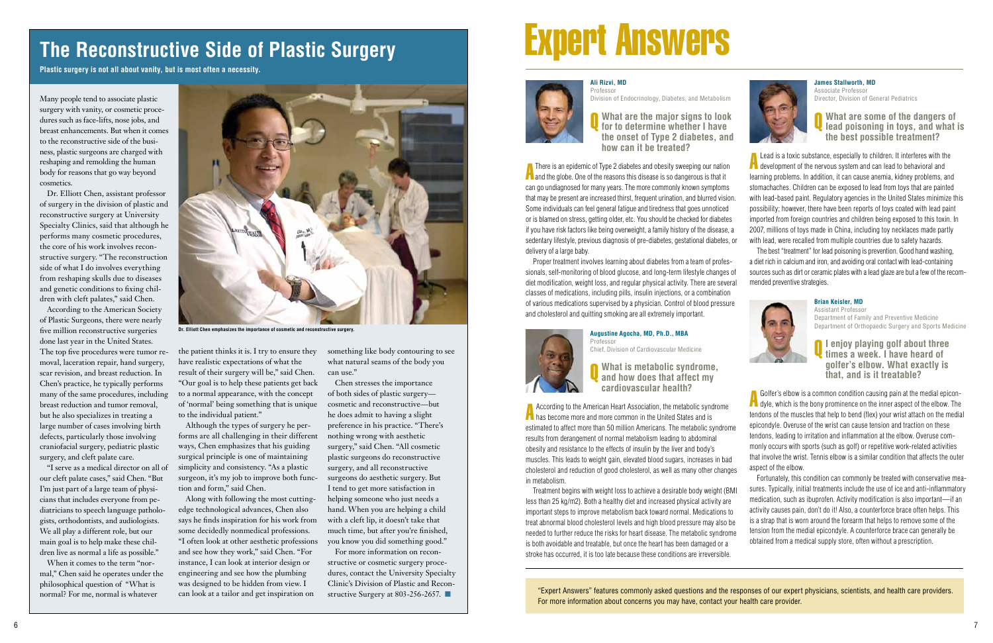### **James Stallworth, MD** Associate Professor

Director, Division of General Pediatrics



Q **What are some of the dangers of lead poisoning in toys, and what is the best possible treatment?**

**A** Lead is a toxic substance, especially to children. It interferes with the development of the nervous system and can lead to behavioral and learning problems. In addition, it can cause anemia, kidney problems, and stomachaches. Children can be exposed to lead from toys that are painted with lead-based paint. Regulatory agencies in the United States minimize this possibility; however, there have been reports of toys coated with lead paint imported from foreign countries and children being exposed to this toxin. In 2007, millions of toys made in China, including toy necklaces made partly with lead, were recalled from multiple countries due to safety hazards.

The best "treatment" for lead poisoning is prevention. Good hand washing, a diet rich in calcium and iron, and avoiding oral contact with lead-containing sources such as dirt or ceramic plates with a lead glaze are but a few of the recommended preventive strategies.



## **Brian Keisler, MD**

Assistant Professor Department of Family and Preventive Medicine Department of Orthopaedic Surgery and Sports Medicine

Q **I enjoy playing golf about three times a week. I have heard of golfer's elbow. What exactly is that, and is it treatable?**

A Golfer's elbow is a common condition causing pain at the medial epicon-dyle, which is the bony prominence on the inner aspect of the elbow. The tendons of the muscles that help to bend (flex) your wrist attach on the medial epicondyle. Overuse of the wrist can cause tension and traction on these tendons, leading to irritation and inflammation at the elbow. Overuse commonly occurs with sports (such as golf) or repetitive work-related activities that involve the wrist. Tennis elbow is a similar condition that affects the outer aspect of the elbow.

**A** There is an epidemic of Type 2 diabetes and obesity sweeping our nation<br>and the globe. One of the reasons this disease is so dangerous is that it **T** There is an epidemic of Type 2 diabetes and obesity sweeping our nation can go undiagnosed for many years. The more commonly known symptoms that may be present are increased thirst, frequent urination, and blurred vision. Some individuals can feel general fatigue and tiredness that goes unnoticed or is blamed on stress, getting older, etc. You should be checked for diabetes if you have risk factors like being overweight, a family history of the disease, a sedentary lifestyle, previous diagnosis of pre-diabetes, gestational diabetes, or delivery of a large baby.

> Fortunately, this condition can commonly be treated with conservative measures. Typically, initial treatments include the use of ice and anti-inflammatory medication, such as ibuprofen. Activity modification is also important—if an activity causes pain, don't do it! Also, a counterforce brace often helps. This is a strap that is worn around the forearm that helps to remove some of the tension from the medial epicondyle. A counterforce brace can generally be obtained from a medical supply store, often without a prescription.

**A** According to the American Heart Association, the metabolic synd<br>has become more and more common in the United States and is According to the American Heart Association, the metabolic syndrome estimated to affect more than 50 million Americans. The metabolic syndrome results from derangement of normal metabolism leading to abdominal obesity and resistance to the effects of insulin by the liver and body's muscles. This leads to weight gain, elevated blood sugars, increases in bad cholesterol and reduction of good cholesterol, as well as many other changes in metabolism.

# Expert Answers



Q **What are the major signs to look for to determine whether I have the onset of Type 2 diabetes, and how can it be treated?**

Proper treatment involves learning about diabetes from a team of professionals, self-monitoring of blood glucose, and long-term lifestyle changes of diet modification, weight loss, and regular physical activity. There are several classes of medications, including pills, insulin injections, or a combination of various medications supervised by a physician. Control of blood pressure and cholesterol and quitting smoking are all extremely important.

## **Augustine Agocha, MD, Ph.D., MBA**



Q **What is metabolic syndrome, and how does that affect my cardiovascular health?**

For more information on reconstructive or cosmetic surgery procedures, contact the University Specialty Clinic's Division of Plastic and Reconstructive Surgery at 803-256-2657.

Treatment begins with weight loss to achieve a desirable body weight (BMI less than 25 kg/m2). Both a healthy diet and increased physical activity are important steps to improve metabolism back toward normal. Medications to treat abnormal blood cholesterol levels and high blood pressure may also be needed to further reduce the risks for heart disease. The metabolic syndrome is both avoidable and treatable, but once the heart has been damaged or a stroke has occurred, it is too late because these conditions are irreversible.

"Expert Answers" features commonly asked questions and the responses of our expert physicians, scientists, and health care providers. For more information about concerns you may have, contact your health care provider.

Many people tend to associate plastic surgery with vanity, or cosmetic procedures such as face-lifts, nose jobs, and breast enhancements. But when it comes to the reconstructive side of the business, plastic surgeons are charged with reshaping and remolding the human body for reasons that go way beyond cosmetics.

Dr. Elliott Chen, assistant professor of surgery in the division of plastic and reconstructive surgery at University Specialty Clinics, said that although he performs many cosmetic procedures, the core of his work involves reconstructive surgery. "The reconstruction side of what I do involves everything from reshaping skulls due to diseases and genetic conditions to fixing children with cleft palates," said Chen.

According to the American Society of Plastic Surgeons, there were nearly five million reconstructive surgeries done last year in the United States.

The top five procedures were tumor removal, laceration repair, hand surgery, scar revision, and breast reduction. In Chen's practice, he typically performs many of the same procedures, including breast reduction and tumor removal, but he also specializes in treating a large number of cases involving birth defects, particularly those involving craniofacial surgery, pediatric plastic surgery, and cleft palate care.

"I serve as a medical director on all of our cleft palate cases," said Chen. "But I'm just part of a large team of physicians that includes everyone from pediatricians to speech language pathologists, orthodontists, and audiologists. We all play a different role, but our main goal is to help make these children live as normal a life as possible."

When it comes to the term "normal," Chen said he operates under the philosophical question of "What is normal? For me, normal is whatever

the patient thinks it is. I try to ensure they have realistic expectations of what the result of their surgery will be," said Chen. "Our goal is to help these patients get back to a normal appearance, with the concept of 'normal' being something that is unique to the individual patient."

Although the types of surgery he performs are all challenging in their different ways, Chen emphasizes that his guiding surgical principle is one of maintaining simplicity and consistency. "As a plastic surgeon, it's my job to improve both function and form," said Chen.

Along with following the most cuttingedge technological advances, Chen also says he finds inspiration for his work from some decidedly nonmedical professions. "I often look at other aesthetic professions and see how they work," said Chen. "For instance, I can look at interior design or engineering and see how the plumbing was designed to be hidden from view. I can look at a tailor and get inspiration on

## **The Reconstructive Side of Plastic Surgery**

**Plastic surgery is not all about vanity, but is most often a necessity.**



**Dr. Elliott Chen emphasizes the importance of cosmetic and reconstructive surgery.**

something like body contouring to see what natural seams of the body you can use."

Chen stresses the importance of both sides of plastic surgery cosmetic and reconstructive—but he does admit to having a slight preference in his practice. "There's nothing wrong with aesthetic surgery," said Chen. "All cosmetic plastic surgeons do reconstructive surgery, and all reconstructive surgeons do aesthetic surgery. But I tend to get more satisfaction in helping someone who just needs a hand. When you are helping a child with a cleft lip, it doesn't take that much time, but after you're finished, you know you did something good."